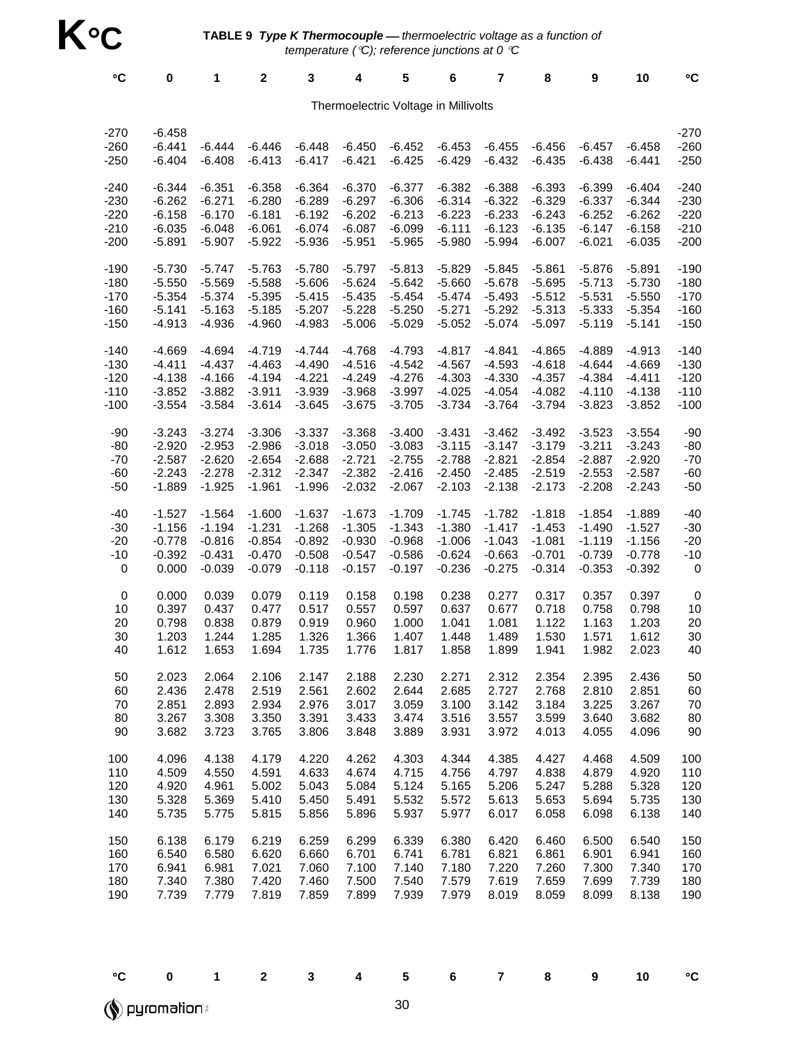| °C                                   | 0                                | 1                    | $\mathbf 2$          | 3                    | 4                    | 5                    | 6                    | 7                    | 8                    | 9                    | 10                   | °C                       |
|--------------------------------------|----------------------------------|----------------------|----------------------|----------------------|----------------------|----------------------|----------------------|----------------------|----------------------|----------------------|----------------------|--------------------------|
| Thermoelectric Voltage in Millivolts |                                  |                      |                      |                      |                      |                      |                      |                      |                      |                      |                      |                          |
| $-270$<br>$-260$<br>$-250$           | $-6.458$<br>$-6.441$<br>$-6.404$ | $-6.444$<br>$-6.408$ | $-6.446$<br>$-6.413$ | $-6.448$<br>$-6.417$ | $-6.450$<br>$-6.421$ | $-6.452$<br>$-6.425$ | $-6.453$<br>$-6.429$ | $-6.455$<br>$-6.432$ | $-6.456$<br>$-6.435$ | $-6.457$<br>$-6.438$ | $-6.458$<br>$-6.441$ | $-270$<br>$-260$<br>-250 |
| $-240$                               | $-6.344$                         | $-6.351$             | $-6.358$             | $-6.364$             | $-6.370$             | $-6.377$             | $-6.382$             | $-6.388$             | $-6.393$             | $-6.399$             | $-6.404$             | $-240$                   |
| $-230$                               | $-6.262$                         | $-6.271$             | $-6.280$             | $-6.289$             | $-6.297$             | $-6.306$             | $-6.314$             | $-6.322$             | $-6.329$             | $-6.337$             | $-6.344$             | $-230$                   |
| $-220$                               | $-6.158$                         | $-6.170$             | $-6.181$             | $-6.192$             | $-6.202$             | $-6.213$             | $-6.223$             | $-6.233$             | $-6.243$             | $-6.252$             | $-6.262$             | $-220$                   |
| $-210$                               | $-6.035$                         | $-6.048$             | $-6.061$             | $-6.074$             | $-6.087$             | $-6.099$             | $-6.111$             | $-6.123$             | $-6.135$             | $-6.147$             | $-6.158$             | $-210$                   |
| $-200$                               | $-5.891$                         | $-5.907$             | $-5.922$             | $-5.936$             | $-5.951$             | $-5.965$             | $-5.980$             | $-5.994$             | $-6.007$             | $-6.021$             | $-6.035$             | $-200$                   |
| $-190$                               | $-5.730$                         | $-5.747$             | $-5.763$             | $-5.780$             | $-5.797$             | $-5.813$             | $-5.829$             | $-5.845$             | $-5.861$             | $-5.876$             | $-5.891$             | $-190$                   |
| $-180$                               | $-5.550$                         | $-5.569$             | $-5.588$             | $-5.606$             | $-5.624$             | $-5.642$             | $-5.660$             | $-5.678$             | $-5.695$             | $-5.713$             | $-5.730$             | $-180$                   |
| $-170$                               | $-5.354$                         | $-5.374$             | $-5.395$             | $-5.415$             | $-5.435$             | $-5.454$             | $-5.474$             | $-5.493$             | $-5.512$             | $-5.531$             | $-5.550$             | $-170$                   |
| $-160$                               | $-5.141$                         | $-5.163$             | $-5.185$             | $-5.207$             | $-5.228$             | $-5.250$             | $-5.271$             | $-5.292$             | $-5.313$             | $-5.333$             | $-5.354$             | $-160$                   |
| $-150$                               | $-4.913$                         | $-4.936$             | $-4.960$             | $-4.983$             | $-5.006$             | $-5.029$             | $-5.052$             | $-5.074$             | $-5.097$             | $-5.119$             | $-5.141$             | $-150$                   |
| $-140$                               | $-4.669$                         | $-4.694$             | $-4.719$             | $-4.744$             | $-4.768$             | $-4.793$             | $-4.817$             | $-4.841$             | $-4.865$             | $-4.889$             | $-4.913$             | $-140$                   |
| $-130$                               | $-4.411$                         | $-4.437$             | $-4.463$             | $-4.490$             | $-4.516$             | $-4.542$             | $-4.567$             | $-4.593$             | $-4.618$             | $-4.644$             | $-4.669$             | $-130$                   |
| $-120$                               | $-4.138$                         | $-4.166$             | $-4.194$             | $-4.221$             | $-4.249$             | $-4.276$             | $-4.303$             | $-4.330$             | $-4.357$             | $-4.384$             | $-4.411$             | $-120$                   |
| $-110$                               | $-3.852$                         | $-3.882$             | $-3.911$             | $-3.939$             | $-3.968$             | $-3.997$             | $-4.025$             | $-4.054$             | $-4.082$             | $-4.110$             | $-4.138$             | $-110$                   |
| $-100$                               | $-3.554$                         | $-3.584$             | $-3.614$             | $-3.645$             | $-3.675$             | $-3.705$             | $-3.734$             | $-3.764$             | $-3.794$             | $-3.823$             | $-3.852$             | $-100$                   |
| -90                                  | $-3.243$                         | $-3.274$             | $-3.306$             | $-3.337$             | $-3.368$             | $-3.400$             | $-3.431$             | $-3.462$             | $-3.492$             | $-3.523$             | $-3.554$             | $-90$                    |
| -80                                  | $-2.920$                         | $-2.953$             | $-2.986$             | $-3.018$             | $-3.050$             | $-3.083$             | $-3.115$             | $-3.147$             | $-3.179$             | $-3.211$             | $-3.243$             | $-80$                    |
| $-70$                                | $-2.587$                         | $-2.620$             | $-2.654$             | $-2.688$             | $-2.721$             | $-2.755$             | $-2.788$             | $-2.821$             | $-2.854$             | $-2.887$             | $-2.920$             | $-70$                    |
| $-60$                                | $-2.243$                         | $-2.278$             | $-2.312$             | $-2.347$             | $-2.382$             | $-2.416$             | $-2.450$             | $-2.485$             | $-2.519$             | $-2.553$             | $-2.587$             | -60                      |
| $-50$                                | $-1.889$                         | $-1.925$             | $-1.961$             | $-1.996$             | $-2.032$             | $-2.067$             | $-2.103$             | $-2.138$             | $-2.173$             | $-2.208$             | $-2.243$             | $-50$                    |
| $-40$                                | $-1.527$                         | $-1.564$             | $-1.600$             | $-1.637$             | $-1.673$             | $-1.709$             | $-1.745$             | $-1.782$             | $-1.818$             | $-1.854$             | $-1.889$             | $-40$                    |
| $-30$                                | $-1.156$                         | $-1.194$             | $-1.231$             | $-1.268$             | $-1.305$             | $-1.343$             | $-1.380$             | $-1.417$             | $-1.453$             | $-1.490$             | $-1.527$             | $-30$                    |
| $-20$                                | $-0.778$                         | $-0.816$             | $-0.854$             | $-0.892$             | $-0.930$             | $-0.968$             | $-1.006$             | $-1.043$             | $-1.081$             | $-1.119$             | $-1.156$             | $-20$                    |
| $-10$                                | $-0.392$                         | $-0.431$             | $-0.470$             | $-0.508$             | $-0.547$             | $-0.586$             | $-0.624$             | $-0.663$             | $-0.701$             | $-0.739$             | $-0.778$             | -10                      |
| 0                                    | 0.000                            | $-0.039$             | $-0.079$             | $-0.118$             | $-0.157$             | $-0.197$             | $-0.236$             | $-0.275$             | $-0.314$             | $-0.353$             | $-0.392$             | 0                        |
| 0                                    | 0.000                            | 0.039                | 0.079                | 0.119                | 0.158                | 0.198                | 0.238                | 0.277                | 0.317                | 0.357                | 0.397                | 0                        |
| 10                                   | 0.397                            | 0.437                | 0.477                | 0.517                | 0.557                | 0.597                | 0.637                | 0.677                | 0.718                | 0.758                | 0.798                | 10                       |
| 20                                   | 0.798                            | 0.838                | 0.879                | 0.919                | 0.960                | 1.000                | 1.041                | 1.081                | 1.122                | 1.163                | 1.203                | 20                       |
| 30                                   | 1.203                            | 1.244                | 1.285                | 1.326                | 1.366                | 1.407                | 1.448                | 1.489                | 1.530                | 1.571                | 1.612                | 30                       |
| 40                                   | 1.612                            | 1.653                | 1.694                | 1.735                | 1.776                | 1.817                | 1.858                | 1.899                | 1.941                | 1.982                | 2.023                | 40                       |
| 50                                   | 2.023                            | 2.064                | 2.106                | 2.147                | 2.188                | 2.230                | 2.271                | 2.312                | 2.354                | 2.395                | 2.436                | 50                       |
| 60                                   | 2.436                            | 2.478                | 2.519                | 2.561                | 2.602                | 2.644                | 2.685                | 2.727                | 2.768                | 2.810                | 2.851                | 60                       |
| 70                                   | 2.851                            | 2.893                | 2.934                | 2.976                | 3.017                | 3.059                | 3.100                | 3.142                | 3.184                | 3.225                | 3.267                | 70                       |
| 80                                   | 3.267                            | 3.308                | 3.350                | 3.391                | 3.433                | 3.474                | 3.516                | 3.557                | 3.599                | 3.640                | 3.682                | 80                       |
| 90                                   | 3.682                            | 3.723                | 3.765                | 3.806                | 3.848                | 3.889                | 3.931                | 3.972                | 4.013                | 4.055                | 4.096                | 90                       |
| 100                                  | 4.096                            | 4.138                | 4.179                | 4.220                | 4.262                | 4.303                | 4.344                | 4.385                | 4.427                | 4.468                | 4.509                | 100                      |
| 110                                  | 4.509                            | 4.550                | 4.591                | 4.633                | 4.674                | 4.715                | 4.756                | 4.797                | 4.838                | 4.879                | 4.920                | 110                      |
| 120                                  | 4.920                            | 4.961                | 5.002                | 5.043                | 5.084                | 5.124                | 5.165                | 5.206                | 5.247                | 5.288                | 5.328                | 120                      |
| 130                                  | 5.328                            | 5.369                | 5.410                | 5.450                | 5.491                | 5.532                | 5.572                | 5.613                | 5.653                | 5.694                | 5.735                | 130                      |
| 140                                  | 5.735                            | 5.775                | 5.815                | 5.856                | 5.896                | 5.937                | 5.977                | 6.017                | 6.058                | 6.098                | 6.138                | 140                      |
| 150                                  | 6.138                            | 6.179                | 6.219                | 6.259                | 6.299                | 6.339                | 6.380                | 6.420                | 6.460                | 6.500                | 6.540                | 150                      |
| 160                                  | 6.540                            | 6.580                | 6.620                | 6.660                | 6.701                | 6.741                | 6.781                | 6.821                | 6.861                | 6.901                | 6.941                | 160                      |
| 170                                  | 6.941                            | 6.981                | 7.021                | 7.060                | 7.100                | 7.140                | 7.180                | 7.220                | 7.260                | 7.300                | 7.340                | 170                      |
| 180                                  | 7.340                            | 7.380                | 7.420                | 7.460                | 7.500                | 7.540                | 7.579                | 7.619                | 7.659                | 7.699                | 7.739                | 180                      |
| 190                                  | 7.739                            | 7.779                | 7.819                | 7.859                | 7.899                | 7.939                | 7.979                | 8.019                | 8.059                | 8.099                | 8.138                | 190                      |

°**C 0 1 2 3 4 5 6 7 8 9 10** °**C Dyromation** 

30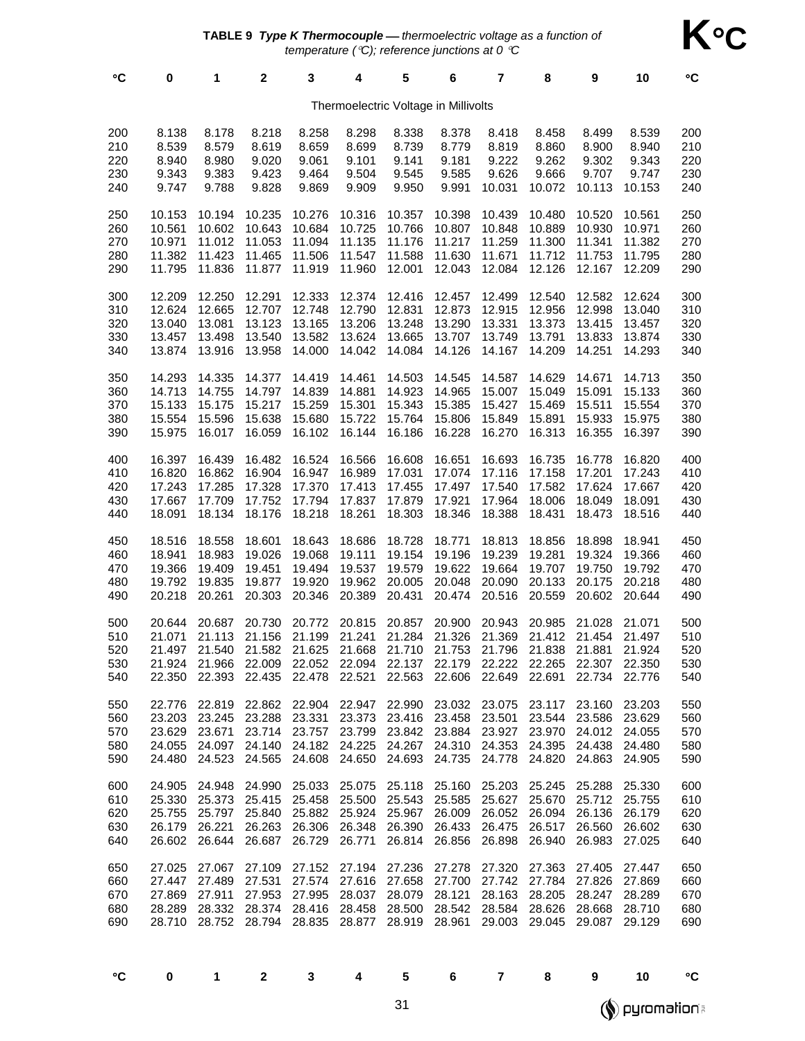| $\circ$ C                            | 0                          | 1                                        | $\mathbf 2$      | 3                                                                                                                                                                                                                                                                                                                                                                         | 4                | 5                | 6                | 7                                                | 8                | 9                                                   | 10                         | °C                              |
|--------------------------------------|----------------------------|------------------------------------------|------------------|---------------------------------------------------------------------------------------------------------------------------------------------------------------------------------------------------------------------------------------------------------------------------------------------------------------------------------------------------------------------------|------------------|------------------|------------------|--------------------------------------------------|------------------|-----------------------------------------------------|----------------------------|---------------------------------|
| Thermoelectric Voltage in Millivolts |                            |                                          |                  |                                                                                                                                                                                                                                                                                                                                                                           |                  |                  |                  |                                                  |                  |                                                     |                            |                                 |
| 200                                  | 8.138                      | 8.178                                    | 8.218            | 8.258                                                                                                                                                                                                                                                                                                                                                                     | 8.298            | 8.338            | 8.378            | 8.418                                            | 8.458            | 8.499                                               | 8.539                      | 200                             |
| 210                                  | 8.539                      | 8.579                                    | 8.619            | 8.659                                                                                                                                                                                                                                                                                                                                                                     | 8.699            | 8.739            | 8.779            | 8.819                                            | 8.860            | 8.900                                               | 8.940                      | 210                             |
| 220                                  | 8.940                      | 8.980                                    | 9.020            | 9.061                                                                                                                                                                                                                                                                                                                                                                     | 9.101            | 9.141            | 9.181            | 9.222                                            | 9.262            | 9.302                                               | 9.343                      | 220                             |
| 230                                  | 9.343                      | 9.383                                    | 9.423            | 9.464                                                                                                                                                                                                                                                                                                                                                                     | 9.504            | 9.545            | 9.585            | 9.626                                            | 9.666            | 9.707                                               | 9.747                      | 230                             |
| 240                                  | 9.747                      | 9.788                                    | 9.828            | 9.869                                                                                                                                                                                                                                                                                                                                                                     | 9.909            | 9.950            | 9.991            | 10.031                                           | 10.072           | 10.113                                              | 10.153                     | 240                             |
| 250                                  | 10.153                     | 10.194                                   | 10.235           | 10.276                                                                                                                                                                                                                                                                                                                                                                    | 10.316           | 10.357           | 10.398           | 10.439                                           | 10.480           | 10.520                                              | 10.561                     | 250                             |
| 260                                  | 10.561                     | 10.602                                   | 10.643           | 10.684                                                                                                                                                                                                                                                                                                                                                                    | 10.725           | 10.766           | 10.807           | 10.848                                           | 10.889           | 10.930                                              | 10.971                     | 260                             |
| 270                                  | 10.971                     | 11.012                                   | 11.053           | 11.094                                                                                                                                                                                                                                                                                                                                                                    | 11.135           | 11.176           | 11.217           | 11.259                                           | 11.300           | 11.341                                              | 11.382                     | 270                             |
| 280                                  | 11.382                     | 11.423                                   | 11.465           | 11.506                                                                                                                                                                                                                                                                                                                                                                    | 11.547           | 11.588           | 11.630           | 11.671                                           | 11.712           | 11.753                                              | 11.795                     | 280                             |
| 290                                  | 11.795                     | 11.836                                   | 11.877           | 11.919                                                                                                                                                                                                                                                                                                                                                                    | 11.960           | 12.001           | 12.043           | 12.084                                           | 12.126           | 12.167                                              | 12.209                     | 290                             |
| 300                                  | 12.209                     | 12.250                                   | 12.291           | 12.333                                                                                                                                                                                                                                                                                                                                                                    | 12.374           | 12.416           | 12.457           | 12.499                                           | 12.540           | 12.582                                              | 12.624                     | 300                             |
| 310                                  | 12.624                     | 12.665                                   | 12.707           | 12.748                                                                                                                                                                                                                                                                                                                                                                    | 12.790           | 12.831           | 12.873           | 12.915                                           | 12.956           | 12.998                                              | 13.040                     | 310                             |
| 320                                  | 13.040                     | 13.081                                   | 13.123           | 13.165                                                                                                                                                                                                                                                                                                                                                                    | 13.206           | 13.248           | 13.290           | 13.331                                           | 13.373           | 13.415                                              | 13.457                     | 320                             |
| 330                                  | 13.457                     | 13.498                                   | 13.540           | 13.582                                                                                                                                                                                                                                                                                                                                                                    | 13.624           | 13.665           | 13.707           | 13.749                                           | 13.791           | 13.833                                              | 13.874                     | 330                             |
| 340                                  | 13.874                     | 13.916                                   | 13.958           | 14.000                                                                                                                                                                                                                                                                                                                                                                    | 14.042           | 14.084           | 14.126           | 14.167                                           | 14.209           | 14.251                                              | 14.293                     | 340                             |
| 350                                  | 14.293                     | 14.335                                   | 14.377           | 14.419                                                                                                                                                                                                                                                                                                                                                                    | 14.461           | 14.503           | 14.545           | 14.587                                           | 14.629           | 14.671                                              | 14.713                     | 350                             |
| 360                                  | 14.713                     | 14.755                                   | 14.797           | 14.839                                                                                                                                                                                                                                                                                                                                                                    | 14.881           | 14.923           | 14.965           | 15.007                                           | 15.049           | 15.091                                              | 15.133                     | 360                             |
| 370                                  | 15.133                     | 15.175                                   | 15.217           | 15.259                                                                                                                                                                                                                                                                                                                                                                    | 15.301           | 15.343           | 15.385           | 15.427                                           | 15.469           | 15.511                                              | 15.554                     | 370                             |
| 380                                  | 15.554                     | 15.596                                   | 15.638           | 15.680                                                                                                                                                                                                                                                                                                                                                                    | 15.722           | 15.764           | 15.806           | 15.849                                           | 15.891           | 15.933                                              | 15.975                     | 380                             |
| 390                                  | 15.975                     | 16.017                                   | 16.059           | 16.102                                                                                                                                                                                                                                                                                                                                                                    | 16.144           | 16.186           | 16.228           | 16.270                                           | 16.313           | 16.355                                              | 16.397                     | 390                             |
| 400                                  | 16.397                     | 16.439                                   | 16.482           | 16.524                                                                                                                                                                                                                                                                                                                                                                    | 16.566           | 16.608           | 16.651           | 16.693                                           | 16.735           | 16.778                                              | 16.820                     | 400                             |
| 410                                  | 16.820                     | 16.862                                   | 16.904           | 16.947                                                                                                                                                                                                                                                                                                                                                                    | 16.989           | 17.031           | 17.074           | 17.116                                           | 17.158           | 17.201                                              | 17.243                     | 410                             |
| 420                                  | 17.243                     | 17.285                                   | 17.328           | 17.370                                                                                                                                                                                                                                                                                                                                                                    | 17.413           | 17.455           | 17.497           | 17.540                                           | 17.582           | 17.624                                              | 17.667                     | 420                             |
| 430                                  | 17.667                     | 17.709                                   | 17.752           | 17.794                                                                                                                                                                                                                                                                                                                                                                    | 17.837           | 17.879           | 17.921           | 17.964                                           | 18.006           | 18.049                                              | 18.091                     | 430                             |
| 440                                  | 18.091                     | 18.134                                   | 18.176           | 18.218                                                                                                                                                                                                                                                                                                                                                                    | 18.261           | 18.303           | 18.346           | 18.388                                           | 18.431           | 18.473                                              | 18.516                     | 440                             |
| 450                                  | 18.516                     | 18.558                                   | 18.601           | 18.643                                                                                                                                                                                                                                                                                                                                                                    | 18.686           | 18.728           | 18.771           | 18.813                                           | 18.856           | 18.898                                              | 18.941                     | 450                             |
| 460                                  | 18.941                     | 18.983                                   | 19.026           | 19.068                                                                                                                                                                                                                                                                                                                                                                    | 19.111           | 19.154           | 19.196           | 19.239                                           | 19.281           | 19.324                                              | 19.366                     | 460                             |
| 470                                  | 19.366                     | 19.409                                   | 19.451           | 19.494                                                                                                                                                                                                                                                                                                                                                                    | 19.537           | 19.579           | 19.622           | 19.664                                           | 19.707           | 19.750                                              | 19.792                     | 470                             |
| 480                                  | 19.792                     | 19.835                                   | 19.877           | 19.920                                                                                                                                                                                                                                                                                                                                                                    | 19.962           | 20.005           | 20.048           | 20.090                                           | 20.133           | 20.175                                              | 20.218                     | 480                             |
| 490                                  | 20.218                     | 20.261                                   | 20.303           | 20.346                                                                                                                                                                                                                                                                                                                                                                    | 20.389           | 20.431           | 20.474           | 20.516                                           | 20.559           | 20.602                                              | 20.644                     | 490                             |
| 500<br>510<br>520<br>530<br>540      | 20.644<br>21.071<br>21.497 | 20.687<br>21.113<br>21.540               | 20.730<br>21.156 | 20.772<br>21.199<br>21.582 21.625 21.668 21.710 21.753 21.796<br>21.924 21.966 22.009 22.052 22.094 22.137 22.179 22.222 22.265 22.307 22.350<br>22.350 22.393 22.435 22.478 22.521 22.563 22.606 22.649 22.691                                                                                                                                                           | 20.815<br>21.241 | 20.857<br>21.284 | 20.900<br>21.326 | 20.943<br>21.369                                 | 20.985<br>21.412 | 21.028<br>21.454<br>21.838 21.881<br>22.734 22.776  | 21.071<br>21.497<br>21.924 | 500<br>510<br>520<br>530<br>540 |
| 550<br>560<br>570<br>580<br>590      | 23.203                     | 23.245<br>23.629 23.671                  |                  | 22.776 22.819 22.862 22.904 22.947 22.990 23.032 23.075 23.117 23.160<br>23.288 23.331 23.373 23.416 23.458 23.501 23.544 23.586 23.629<br>23.714 23.757 23.799 23.842 23.884 23.927 23.970 24.012 24.055<br>24.055 24.097 24.140 24.182 24.225 24.267 24.310 24.353 24.395 24.438 24.480<br>24.480 24.523 24.565 24.608 24.650 24.693 24.735 24.778 24.820 24.863 24.905 |                  |                  |                  |                                                  |                  |                                                     | 23.203                     | 550<br>560<br>570<br>580<br>590 |
| 600<br>610<br>620<br>630<br>640      | 25.755                     | 25.797<br>26.179 26.221<br>26.602 26.644 |                  | 24.905 24.948 24.990 25.033 25.075 25.118 25.160 25.203<br>25.330 25.373 25.415 25.458 25.500 25.543 25.585 25.627 25.670 25.712 25.755<br>25.840 25.882 25.924 25.967 26.009<br>26.263 26.306 26.348 26.390 26.433 26.475 26.517 26.560 26.602<br>26.687 26.729 26.771                                                                                                   |                  |                  |                  | 26.814 26.856 26.898 26.940 26.983 27.025        |                  | 25.245 25.288 25.330<br>26.052 26.094 26.136 26.179 |                            | 600<br>610<br>620<br>630<br>640 |
| 650<br>660<br>670<br>680<br>690      | 27.025<br>27.869<br>28.289 | 27.067<br>27.447 27.489<br>27.911        | 27.109<br>27.531 | 27.152 27.194 27.236 27.278 27.320<br>27.953 27.995 28.037 28.079 28.121<br>28.332 28.374 28.416 28.458 28.500 28.542 28.584 28.626 28.668 28.710<br>28.710 28.752 28.794 28.835 28.877 28.919 28.961 29.003 29.045 29.087 29.129                                                                                                                                         |                  |                  |                  | 27.574 27.616 27.658 27.700 27.742 27.784 27.826 | 27.363           | 27.405<br>28.163 28.205 28.247 28.289               | 27.447<br>27.869           | 650<br>660<br>670<br>680<br>690 |

| I<br>٠<br>٧ |  |  |  |
|-------------|--|--|--|

°**C 0 1 2 3 4 5 6 7 8 9 10** °**C**

**Solomation** 

**K**°**C**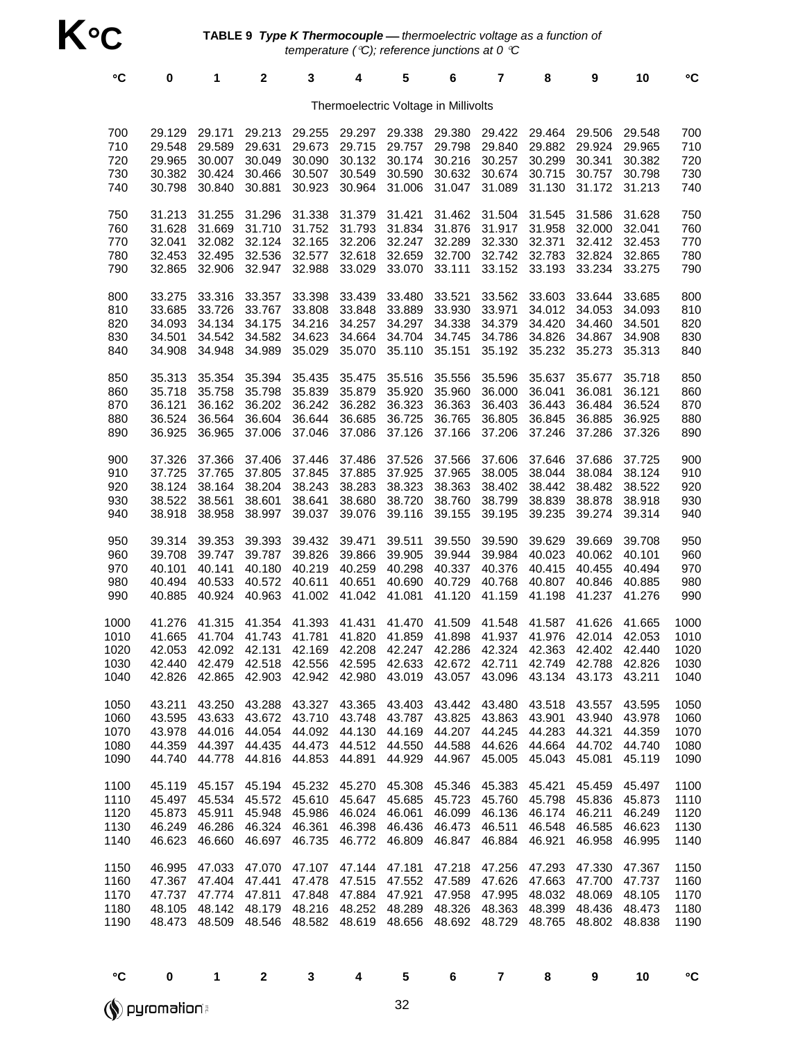| $\circ$ C                            | $\bf{0}$                                       | 1                                                                                                                                                                                                        | 2                                                                                                | 3                                              | 4                                              | 5                                              | 6                                              | 7                                              | 8                                                                                               | 9                                              | 10                                             | $\mathbf{C}$                         |
|--------------------------------------|------------------------------------------------|----------------------------------------------------------------------------------------------------------------------------------------------------------------------------------------------------------|--------------------------------------------------------------------------------------------------|------------------------------------------------|------------------------------------------------|------------------------------------------------|------------------------------------------------|------------------------------------------------|-------------------------------------------------------------------------------------------------|------------------------------------------------|------------------------------------------------|--------------------------------------|
|                                      |                                                |                                                                                                                                                                                                          |                                                                                                  |                                                | Thermoelectric Voltage in Millivolts           |                                                |                                                |                                                |                                                                                                 |                                                |                                                |                                      |
| 700<br>710<br>720<br>730<br>740      | 29.129<br>29.548<br>29.965<br>30.382<br>30.798 | 29.171<br>29.589<br>30.007<br>30.424<br>30.840                                                                                                                                                           | 29.213<br>29.631<br>30.049<br>30.466<br>30.881                                                   | 29.255<br>29.673<br>30.090<br>30.507<br>30.923 | 29.297<br>29.715<br>30.132<br>30.549<br>30.964 | 29.338<br>29.757<br>30.174<br>30.590<br>31.006 | 29.380<br>29.798<br>30.216<br>30.632<br>31.047 | 29.422<br>29.840<br>30.257<br>30.674<br>31.089 | 29.464<br>29.882<br>30.299<br>30.715<br>31.130                                                  | 29.506<br>29.924<br>30.341<br>30.757<br>31.172 | 29.548<br>29.965<br>30.382<br>30.798<br>31.213 | 700<br>710<br>720<br>730<br>740      |
| 750<br>760<br>770<br>780<br>790      | 31.213<br>31.628<br>32.041<br>32.453<br>32.865 | 31.255<br>31.669<br>32.082<br>32.495<br>32.906                                                                                                                                                           | 31.296<br>31.710<br>32.124<br>32.536<br>32.947                                                   | 31.338<br>31.752<br>32.165<br>32.577<br>32.988 | 31.379<br>31.793<br>32.206<br>32.618<br>33.029 | 31.421<br>31.834<br>32.247<br>32.659<br>33.070 | 31.462<br>31.876<br>32.289<br>32.700<br>33.111 | 31.504<br>31.917<br>32.330<br>32.742<br>33.152 | 31.545<br>31.958<br>32.371<br>32.783<br>33.193                                                  | 31.586<br>32.000<br>32.412<br>32.824<br>33.234 | 31.628<br>32.041<br>32.453<br>32.865<br>33.275 | 750<br>760<br>770<br>780<br>790      |
| 800<br>810<br>820<br>830<br>840      | 33.275<br>33.685<br>34.093<br>34.501<br>34.908 | 33.316<br>33.726<br>34.134<br>34.542<br>34.948                                                                                                                                                           | 33.357<br>33.767<br>34.175<br>34.582<br>34.989                                                   | 33.398<br>33.808<br>34.216<br>34.623<br>35.029 | 33.439<br>33.848<br>34.257<br>34.664<br>35.070 | 33.480<br>33.889<br>34.297<br>34.704<br>35.110 | 33.521<br>33.930<br>34.338<br>34.745<br>35.151 | 33.562<br>33.971<br>34.379<br>34.786<br>35.192 | 33.603<br>34.012<br>34.420<br>34.826<br>35.232                                                  | 33.644<br>34.053<br>34.460<br>34.867<br>35.273 | 33.685<br>34.093<br>34.501<br>34.908<br>35.313 | 800<br>810<br>820<br>830<br>840      |
| 850<br>860<br>870<br>880<br>890      | 35.313<br>35.718<br>36.121<br>36.524<br>36.925 | 35.354<br>35.758<br>36.162<br>36.564<br>36.965                                                                                                                                                           | 35.394<br>35.798<br>36.202<br>36.604<br>37.006                                                   | 35.435<br>35.839<br>36.242<br>36.644<br>37.046 | 35.475<br>35.879<br>36.282<br>36.685<br>37.086 | 35.516<br>35.920<br>36.323<br>36.725<br>37.126 | 35.556<br>35.960<br>36.363<br>36.765<br>37.166 | 35.596<br>36.000<br>36.403<br>36.805<br>37.206 | 35.637<br>36.041<br>36.443<br>36.845<br>37.246                                                  | 35.677<br>36.081<br>36.484<br>36.885<br>37.286 | 35.718<br>36.121<br>36.524<br>36.925<br>37.326 | 850<br>860<br>870<br>880<br>890      |
| 900<br>910<br>920<br>930<br>940      | 37.326<br>37.725<br>38.124<br>38.522<br>38.918 | 37.366<br>37.765<br>38.164<br>38.561<br>38.958                                                                                                                                                           | 37.406<br>37.805<br>38.204<br>38.601<br>38.997                                                   | 37.446<br>37.845<br>38.243<br>38.641<br>39.037 | 37.486<br>37.885<br>38.283<br>38.680<br>39.076 | 37.526<br>37.925<br>38.323<br>38.720<br>39.116 | 37.566<br>37.965<br>38.363<br>38.760<br>39.155 | 37.606<br>38.005<br>38.402<br>38.799<br>39.195 | 37.646<br>38.044<br>38.442<br>38.839<br>39.235                                                  | 37.686<br>38.084<br>38.482<br>38.878<br>39.274 | 37.725<br>38.124<br>38.522<br>38.918<br>39.314 | 900<br>910<br>920<br>930<br>940      |
| 950<br>960<br>970<br>980<br>990      | 39.314<br>39.708<br>40.101<br>40.494<br>40.885 | 39.353<br>39.747<br>40.141<br>40.533<br>40.924                                                                                                                                                           | 39.393<br>39.787<br>40.180<br>40.572 40.611<br>40.963                                            | 39.432<br>39.826<br>40.219<br>41.002           | 39.471<br>39.866<br>40.259<br>40.651<br>41.042 | 39.511<br>39.905<br>40.298<br>40.690<br>41.081 | 39.550<br>39.944<br>40.337<br>40.729<br>41.120 | 39.590<br>39.984<br>40.376<br>40.768<br>41.159 | 39.629<br>40.023<br>40.415<br>40.807<br>41.198                                                  | 39.669<br>40.062<br>40.455<br>40.846<br>41.237 | 39.708<br>40.101<br>40.494<br>40.885<br>41.276 | 950<br>960<br>970<br>980<br>990      |
| 1000<br>1010<br>1020<br>1030<br>1040 | 41.276<br>41.665<br>42.053                     | 41.315<br>41.704<br>42.440 42.479 42.518 42.556 42.595 42.633 42.672 42.711 42.749 42.788 42.826<br>42.826 42.865 42.903 42.942 42.980 43.019 43.057 43.096 43.134 43.173 43.211                         | 41.354<br>41.743 41.781<br>42.092 42.131 42.169 42.208 42.247 42.286 42.324 42.363 42.402 42.440 | 41.393                                         | 41.431<br>41.820                               | 41.470<br>41.859                               | 41.509<br>41.898                               | 41.548                                         | 41.587<br>41.937 41.976                                                                         | 41.626<br>42.014 42.053                        | 41.665                                         | 1000<br>1010<br>1020<br>1030<br>1040 |
| 1050<br>1060<br>1070<br>1080<br>1090 | 43.211<br>43.595<br>44.359<br>44.740           | 43.250<br>43.978 44.016 44.054 44.092 44.130<br>44.778                                                                                                                                                   | 43.288<br>43.633 43.672 43.710 43.748<br>44.397 44.435 44.473 44.512 44.550                      | 43.327 43.365<br>44.816 44.853                 | 44.891                                         | 43.403<br>43.787<br>44.169<br>44.929           | 43.442<br>43.825<br>44.588<br>44.967           | 43.863                                         | 43.480 43.518<br>43.901<br>44.207 44.245 44.283 44.321<br>44.626 44.664 44.702<br>45.005 45.043 | 43.557<br>43.940<br>45.081                     | 43.595<br>43.978<br>44.359<br>44.740<br>45.119 | 1050<br>1060<br>1070<br>1080<br>1090 |
| 1100<br>1110<br>1120<br>1130<br>1140 | 45.497<br>45.873<br>46.623                     | 45.119 45.157 45.194 45.232 45.270<br>45.534<br>45.911<br>46.249 46.286 46.324 46.361 46.398 46.436                                                                                                      | 46.660 46.697 46.735 46.772 46.809                                                               | 45.572 45.610 45.647<br>45.948 45.986          | 46.024                                         | 45.308<br>45.685<br>46.061                     | 45.346<br>45.723<br>46.099<br>46.473<br>46.847 | 45.760                                         | 45.383 45.421<br>45.798<br>46.136 46.174<br>46.511 46.548 46.585 46.623<br>46.884 46.921        | 45.459<br>45.836<br>46.211<br>46.958           | 45.497<br>45.873<br>46.249<br>46.995           | 1100<br>1110<br>1120<br>1130<br>1140 |
| 1150<br>1160<br>1170<br>1180<br>1190 |                                                | 46.995 47.033 47.070 47.107 47.144 47.181<br>47.367 47.404 47.441 47.478 47.515 47.552<br>47.737 47.774 47.811 47.848 47.884 47.921<br>48.105 48.142 48.179 48.216<br>48.473 48.509 48.546 48.582 48.619 |                                                                                                  |                                                | 48.252                                         | 48.289<br>48.656                               | 47.218<br>47.589<br>47.958<br>48.326           | 47.256<br>47.995                               | 47.293<br>47.626 47.663 47.700<br>48.032<br>48.363 48.399<br>48.692 48.729 48.765               | 47.330<br>48.069<br>48.436<br>48.802 48.838    | 47.367<br>47.737<br>48.105<br>48.473           | 1150<br>1160<br>1170<br>1180<br>1190 |

**Dyromation** 

°**C 0 1 2 3 4 5 6 7 8 9 10** °**C**